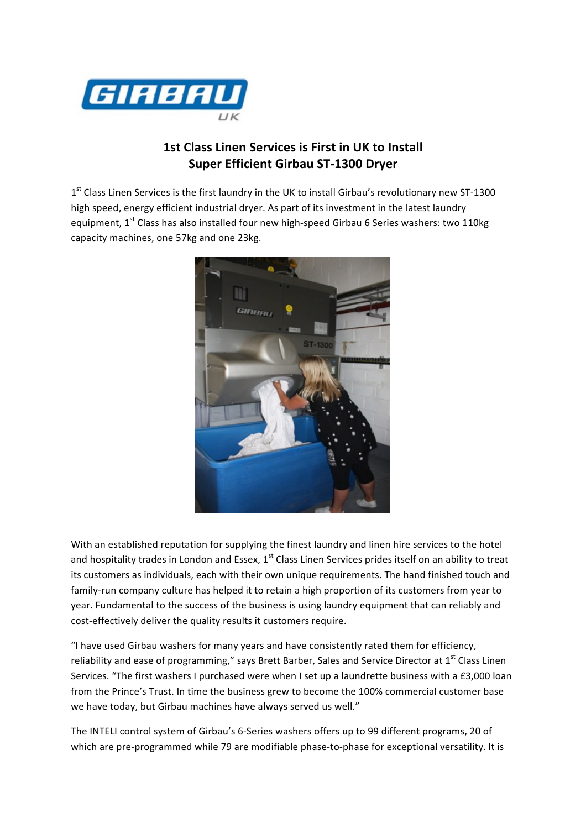

## **1st Class Linen Services is First in UK to Install Super Efficient Girbau ST-1300 Dryer**

1st Class Linen Services is the first laundry in the UK to install Girbau's revolutionary new ST-1300 high speed, energy efficient industrial dryer. As part of its investment in the latest laundry equipment, 1<sup>st</sup> Class has also installed four new high-speed Girbau 6 Series washers: two 110kg capacity machines, one 57kg and one 23kg.



With an established reputation for supplying the finest laundry and linen hire services to the hotel and hospitality trades in London and Essex, 1st Class Linen Services prides itself on an ability to treat its customers as individuals, each with their own unique requirements. The hand finished touch and family-run company culture has helped it to retain a high proportion of its customers from year to year. Fundamental to the success of the business is using laundry equipment that can reliably and cost-effectively deliver the quality results it customers require.

"I have used Girbau washers for many years and have consistently rated them for efficiency, reliability and ease of programming," says Brett Barber, Sales and Service Director at 1<sup>st</sup> Class Linen Services. "The first washers I purchased were when I set up a laundrette business with a £3,000 loan from the Prince's Trust. In time the business grew to become the 100% commercial customer base we have today, but Girbau machines have always served us well."

The INTELI control system of Girbau's 6-Series washers offers up to 99 different programs, 20 of which are pre-programmed while 79 are modifiable phase-to-phase for exceptional versatility. It is